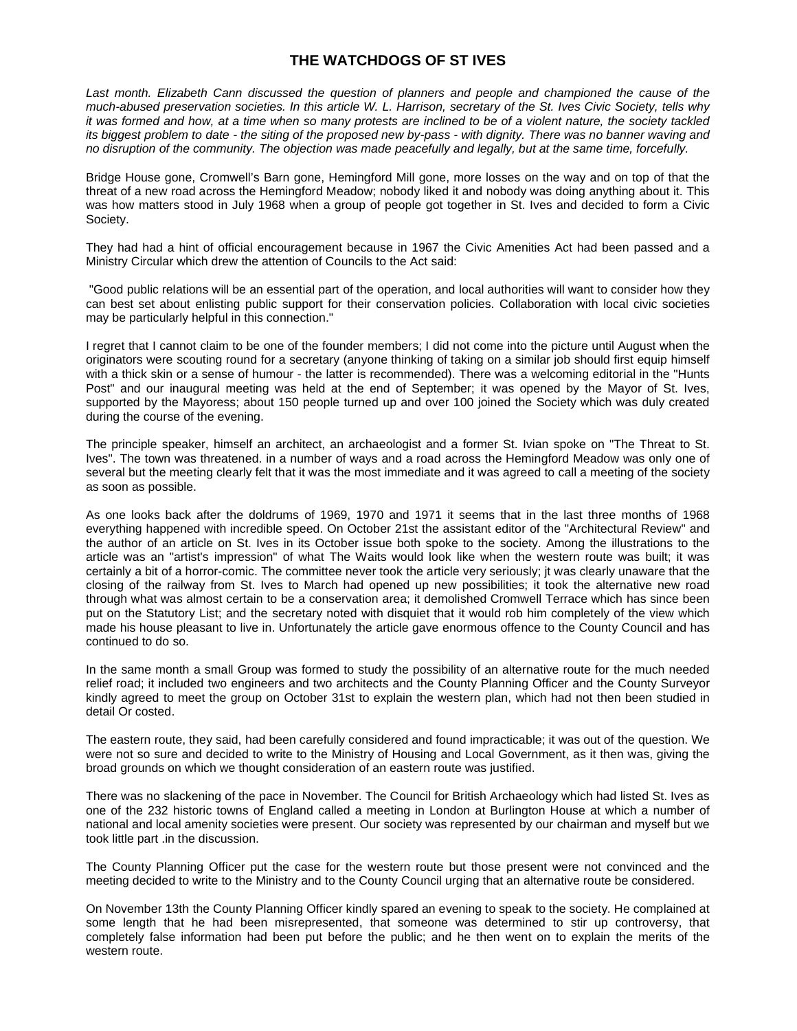## **THE WATCHDOGS OF ST IVES**

*Last month. Elizabeth Cann discussed the question of planners and people and championed the cause of the much-abused preservation societies. In this article W. L. Harrison, secretary of the St. Ives Civic Society, tells why it was formed and how, at a time when so many protests are inclined to be of a violent nature, the society tackled its biggest problem to date - the siting of the proposed new by-pass - with dignity. There was no banner waving and no disruption of the community. The objection was made peacefully and legally, but at the same time, forcefully.*

Bridge House gone, Cromwell's Barn gone, Hemingford Mill gone, more losses on the way and on top of that the threat of a new road across the Hemingford Meadow; nobody liked it and nobody was doing anything about it. This was how matters stood in July 1968 when a group of people got together in St. Ives and decided to form a Civic Society.

They had had a hint of official encouragement because in 1967 the Civic Amenities Act had been passed and a Ministry Circular which drew the attention of Councils to the Act said:

"Good public relations will be an essential part of the operation, and local authorities will want to consider how they can best set about enlisting public support for their conservation policies. Collaboration with local civic societies may be particularly helpful in this connection."

I regret that I cannot claim to be one of the founder members; I did not come into the picture until August when the originators were scouting round for a secretary (anyone thinking of taking on a similar job should first equip himself with a thick skin or a sense of humour - the latter is recommended). There was a welcoming editorial in the "Hunts Post" and our inaugural meeting was held at the end of September; it was opened by the Mayor of St. Ives, supported by the Mayoress; about 150 people turned up and over 100 joined the Society which was duly created during the course of the evening.

The principle speaker, himself an architect, an archaeologist and a former St. Ivian spoke on "The Threat to St. Ives". The town was threatened. in a number of ways and a road across the Hemingford Meadow was only one of several but the meeting clearly felt that it was the most immediate and it was agreed to call a meeting of the society as soon as possible.

As one looks back after the doldrums of 1969, 1970 and 1971 it seems that in the last three months of 1968 everything happened with incredible speed. On October 21st the assistant editor of the "Architectural Review" and the author of an article on St. Ives in its October issue both spoke to the society. Among the illustrations to the article was an "artist's impression" of what The Waits would look like when the western route was built; it was certainly a bit of a horror-comic. The committee never took the article very seriously; jt was clearly unaware that the closing of the railway from St. Ives to March had opened up new possibilities; it took the alternative new road through what was almost certain to be a conservation area; it demolished Cromwell Terrace which has since been put on the Statutory List; and the secretary noted with disquiet that it would rob him completely of the view which made his house pleasant to live in. Unfortunately the article gave enormous offence to the County Council and has continued to do so.

In the same month a small Group was formed to study the possibility of an alternative route for the much needed relief road; it included two engineers and two architects and the County Planning Officer and the County Surveyor kindly agreed to meet the group on October 31st to explain the western plan, which had not then been studied in detail Or costed.

The eastern route, they said, had been carefully considered and found impracticable; it was out of the question. We were not so sure and decided to write to the Ministry of Housing and Local Government, as it then was, giving the broad grounds on which we thought consideration of an eastern route was justified.

There was no slackening of the pace in November. The Council for British Archaeology which had listed St. Ives as one of the 232 historic towns of England called a meeting in London at Burlington House at which a number of national and local amenity societies were present. Our society was represented by our chairman and myself but we took little part .in the discussion.

The County Planning Officer put the case for the western route but those present were not convinced and the meeting decided to write to the Ministry and to the County Council urging that an alternative route be considered.

On November 13th the County Planning Officer kindly spared an evening to speak to the society. He complained at some length that he had been misrepresented, that someone was determined to stir up controversy, that completely false information had been put before the public; and he then went on to explain the merits of the western route.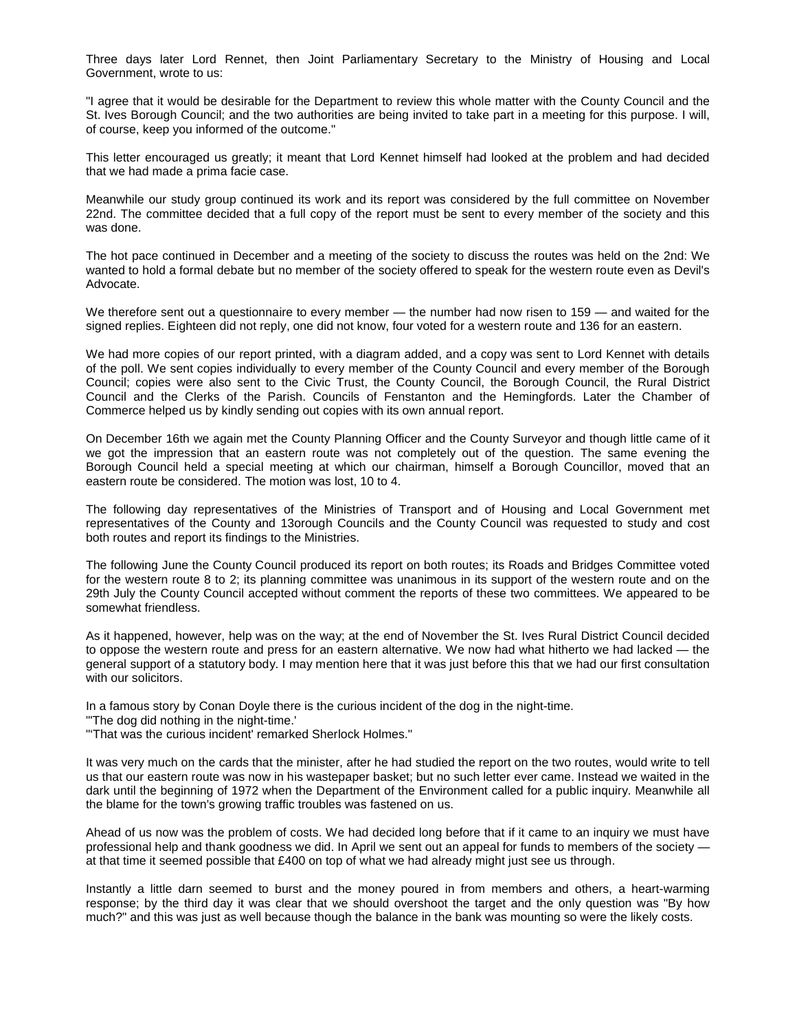Three days later Lord Rennet, then Joint Parliamentary Secretary to the Ministry of Housing and Local Government, wrote to us:

"I agree that it would be desirable for the Department to review this whole matter with the County Council and the St. Ives Borough Council; and the two authorities are being invited to take part in a meeting for this purpose. I will, of course, keep you informed of the outcome."

This letter encouraged us greatly; it meant that Lord Kennet himself had looked at the problem and had decided that we had made a prima facie case.

Meanwhile our study group continued its work and its report was considered by the full committee on November 22nd. The committee decided that a full copy of the report must be sent to every member of the society and this was done.

The hot pace continued in December and a meeting of the society to discuss the routes was held on the 2nd: We wanted to hold a formal debate but no member of the society offered to speak for the western route even as Devil's Advocate.

We therefore sent out a questionnaire to every member — the number had now risen to 159 — and waited for the signed replies. Eighteen did not reply, one did not know, four voted for a western route and 136 for an eastern.

We had more copies of our report printed, with a diagram added, and a copy was sent to Lord Kennet with details of the poll. We sent copies individually to every member of the County Council and every member of the Borough Council; copies were also sent to the Civic Trust, the County Council, the Borough Council, the Rural District Council and the Clerks of the Parish. Councils of Fenstanton and the Hemingfords. Later the Chamber of Commerce helped us by kindly sending out copies with its own annual report.

On December 16th we again met the County Planning Officer and the County Surveyor and though little came of it we got the impression that an eastern route was not completely out of the question. The same evening the Borough Council held a special meeting at which our chairman, himself a Borough Councillor, moved that an eastern route be considered. The motion was lost, 10 to 4.

The following day representatives of the Ministries of Transport and of Housing and Local Government met representatives of the County and 13orough Councils and the County Council was requested to study and cost both routes and report its findings to the Ministries.

The following June the County Council produced its report on both routes; its Roads and Bridges Committee voted for the western route 8 to 2; its planning committee was unanimous in its support of the western route and on the 29th July the County Council accepted without comment the reports of these two committees. We appeared to be somewhat friendless.

As it happened, however, help was on the way; at the end of November the St. Ives Rural District Council decided to oppose the western route and press for an eastern alternative. We now had what hitherto we had lacked — the general support of a statutory body. I may mention here that it was just before this that we had our first consultation with our solicitors.

In a famous story by Conan Doyle there is the curious incident of the dog in the night-time.

"'The dog did nothing in the night-time.'

"'That was the curious incident' remarked Sherlock Holmes."

It was very much on the cards that the minister, after he had studied the report on the two routes, would write to tell us that our eastern route was now in his wastepaper basket; but no such letter ever came. Instead we waited in the dark until the beginning of 1972 when the Department of the Environment called for a public inquiry. Meanwhile all the blame for the town's growing traffic troubles was fastened on us.

Ahead of us now was the problem of costs. We had decided long before that if it came to an inquiry we must have professional help and thank goodness we did. In April we sent out an appeal for funds to members of the society at that time it seemed possible that £400 on top of what we had already might just see us through.

Instantly a little darn seemed to burst and the money poured in from members and others, a heart-warming response; by the third day it was clear that we should overshoot the target and the only question was "By how much?" and this was just as well because though the balance in the bank was mounting so were the likely costs.